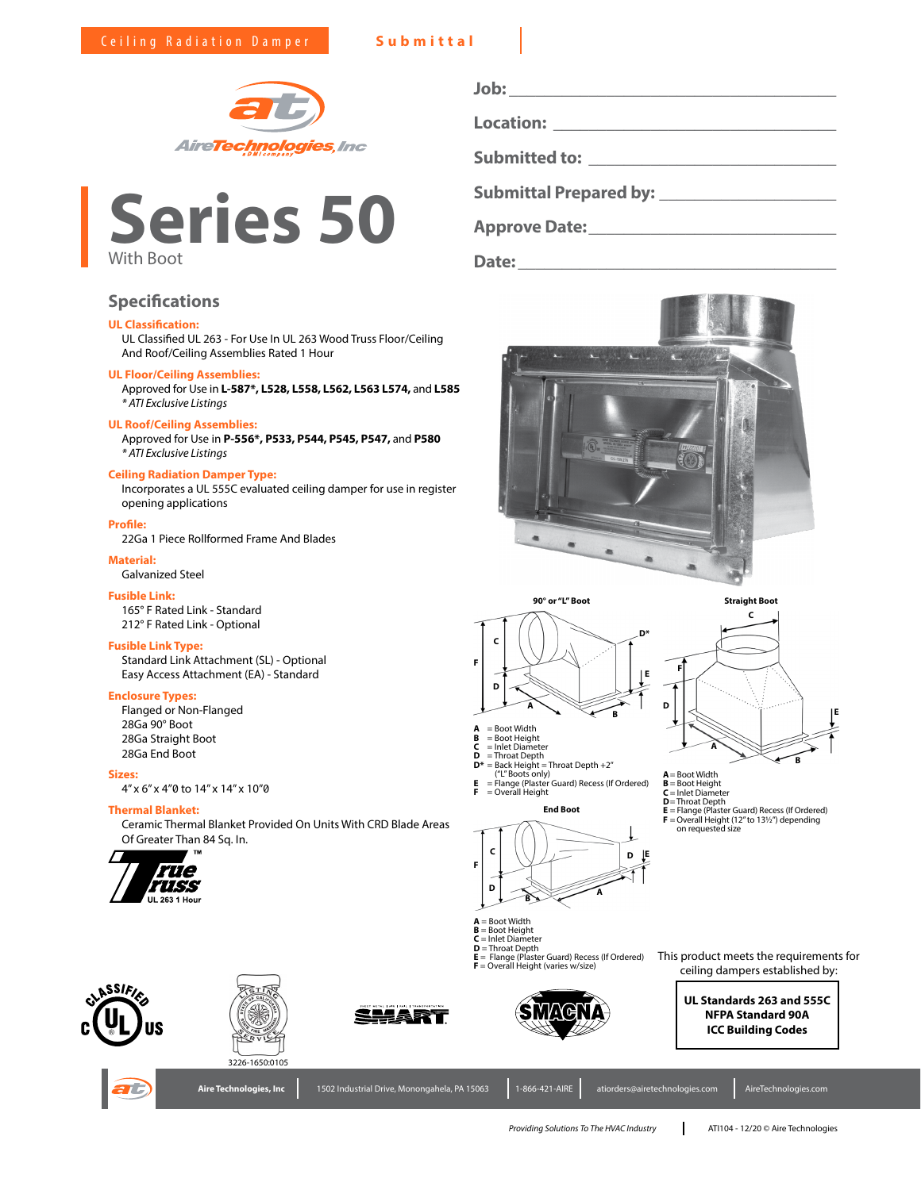



## **Specifications**

### **UL Classification:**

UL Classified UL 263 - For Use In UL 263 Wood Truss Floor/Ceiling And Roof/Ceiling Assemblies Rated 1 Hour

### **UL Floor/Ceiling Assemblies:**

Approved for Use in **L-587\*, L528, L558, L562, L563 L574,** and **L585** *\* ATI Exclusive Listings*

### **UL Roof/Ceiling Assemblies:**

Approved for Use in **P-556\*, P533, P544, P545, P547,** and **P580** *\* ATI Exclusive Listings*

#### **Ceiling Radiation Damper Type:**

Incorporates a UL 555C evaluated ceiling damper for use in register opening applications

### **Profile:**

22Ga 1 Piece Rollformed Frame And Blades

### **Material:**

Galvanized Steel

### **Fusible Link:**

165° F Rated Link - Standard 212° F Rated Link - Optional

### **Fusible Link Type:**

Standard Link Attachment (SL) - Optional Easy Access Attachment (EA) - Standard

### **Enclosure Types:**

Flanged or Non-Flanged 28Ga 90° Boot 28Ga Straight Boot 28Ga End Boot

### **Sizes:**

4" x 6" x 4"0 to 14" x 14" x 10"0

### **Thermal Blanket:**

Ceramic Thermal Blanket Provided On Units With CRD Blade Areas Of Greater Than 84 Sq. In.



| Job:                                                                                                                                                                                                                                |  |
|-------------------------------------------------------------------------------------------------------------------------------------------------------------------------------------------------------------------------------------|--|
| <b>Location:</b> the contract of the contract of the contract of the contract of the contract of the contract of the contract of the contract of the contract of the contract of the contract of the contract of the contract of th |  |
| <b>Submitted to: Example 2018</b>                                                                                                                                                                                                   |  |
|                                                                                                                                                                                                                                     |  |
| <b>Submittal Prepared by:</b>                                                                                                                                                                                                       |  |

**Date:\_\_\_\_\_\_\_\_\_\_\_\_\_\_\_\_\_\_\_\_\_\_\_\_\_\_\_\_\_\_\_\_\_\_\_\_**

**Approve Date:\_\_\_\_\_\_\_\_\_\_\_\_\_\_\_\_\_\_\_\_\_\_\_\_\_\_\_\_**









- 
- **D** = Throat Depth **D\*** = Back Height = Throat Depth +2"
- **End Boot**  $E =$ Flange (Plaster<br> $E =$ Overall Height **E** = Flange (Plaster Guard) Recess (If Ordered) **F** = Overall Height





**F**

**D**

**E** = Flange (Plaster Guard) Recess (If Ordered) **F** =Overall Height (12" to 13½") depending on requested size

**B**

**E**

**C**

**Straight Boot**

**D E**

- -



- 
- **D** = Throat Depth

**C F**

**E** = Flange (Plaster Guard) Recess (If Ordered) **F** = Overall Height (varies w/size)





**<sup>D</sup> <sup>A</sup> <sup>B</sup>**